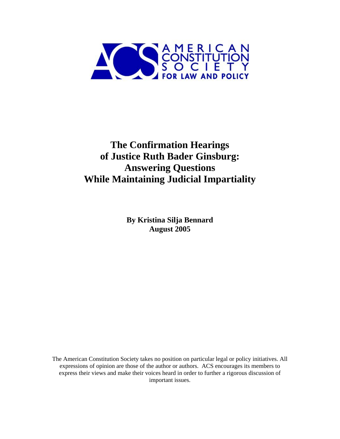

# **The Confirmation Hearings of Justice Ruth Bader Ginsburg: Answering Questions While Maintaining Judicial Impartiality**

**By Kristina Silja Bennard August 2005** 

The American Constitution Society takes no position on particular legal or policy initiatives. All expressions of opinion are those of the author or authors. ACS encourages its members to express their views and make their voices heard in order to further a rigorous discussion of important issues.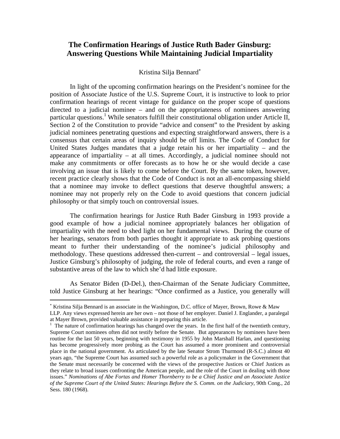# **The Confirmation Hearings of Justice Ruth Bader Ginsburg: Answering Questions While Maintaining Judicial Impartiality**

#### Kristina Silja Bennard<sup>∗</sup>

In light of the upcoming confirmation hearings on the President's nominee for the position of Associate Justice of the U.S. Supreme Court, it is instructive to look to prior confirmation hearings of recent vintage for guidance on the proper scope of questions directed to a judicial nominee – and on the appropriateness of nominees answering particular questions.<sup>1</sup> While senators fulfill their constitutional obligation under Article II, Section 2 of the Constitution to provide "advice and consent" to the President by asking judicial nominees penetrating questions and expecting straightforward answers, there is a consensus that certain areas of inquiry should be off limits. The Code of Conduct for United States Judges mandates that a judge retain his or her impartiality – and the appearance of impartiality – at all times. Accordingly, a judicial nominee should not make any commitments or offer forecasts as to how he or she would decide a case involving an issue that is likely to come before the Court. By the same token, however, recent practice clearly shows that the Code of Conduct is not an all-encompassing shield that a nominee may invoke to deflect questions that deserve thoughtful answers; a nominee may not properly rely on the Code to avoid questions that concern judicial philosophy or that simply touch on controversial issues.

The confirmation hearings for Justice Ruth Bader Ginsburg in 1993 provide a good example of how a judicial nominee appropriately balances her obligation of impartiality with the need to shed light on her fundamental views. During the course of her hearings, senators from both parties thought it appropriate to ask probing questions meant to further their understanding of the nominee's judicial philosophy and methodology. These questions addressed then-current – and controversial – legal issues, Justice Ginsburg's philosophy of judging, the role of federal courts, and even a range of substantive areas of the law to which she'd had little exposure.

As Senator Biden (D-Del.), then-Chairman of the Senate Judiciary Committee, told Justice Ginsburg at her hearings: "Once confirmed as a Justice, you generally will

<sup>∗</sup> Kristina Silja Bennard is an associate in the Washington, D.C. office of Mayer, Brown, Rowe & Maw LLP. Any views expressed herein are her own – not those of her employer. Daniel J. Englander, a paralegal at Mayer Brown, provided valuable assistance in preparing this article. 1

 $<sup>1</sup>$  The nature of confirmation hearings has changed over the years. In the first half of the twentieth century,</sup> Supreme Court nominees often did not testify before the Senate. But appearances by nominees have been routine for the last 50 years, beginning with testimony in 1955 by John Marshall Harlan, and questioning has become progressively more probing as the Court has assumed a more prominent and controversial place in the national government. As articulated by the late Senator Strom Thurmond (R-S.C.) almost 40 years ago, "the Supreme Court has assumed such a powerful role as a policymaker in the Government that the Senate must necessarily be concerned with the views of the prospective Justices or Chief Justices as they relate to broad issues confronting the American people, and the role of the Court in dealing with those issues." *Nominations of Abe Fortas and Homer Thornberry to be a Chief Justice and an Associate Justice of the Supreme Court of the United States: Hearings Before the S. Comm. on the Judiciary*, 90th Cong., 2d Sess. 180 (1968).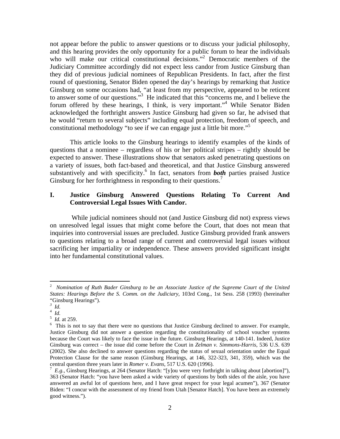not appear before the public to answer questions or to discuss your judicial philosophy, and this hearing provides the only opportunity for a public forum to hear the individuals who will make our critical constitutional decisions."<sup>2</sup> Democratic members of the Judiciary Committee accordingly did not expect less candor from Justice Ginsburg than they did of previous judicial nominees of Republican Presidents. In fact, after the first round of questioning, Senator Biden opened the day's hearings by remarking that Justice Ginsburg on some occasions had, "at least from my perspective, appeared to be reticent to answer some of our questions."<sup>3</sup> He indicated that this "concerns me, and I believe the forum offered by these hearings, I think, is very important."<sup>4</sup> While Senator Biden acknowledged the forthright answers Justice Ginsburg had given so far, he advised that he would "return to several subjects" including equal protection, freedom of speech, and constitutional methodology "to see if we can engage just a little bit more."<sup>5</sup>

This article looks to the Ginsburg hearings to identify examples of the kinds of questions that a nominee – regardless of his or her political stripes – rightly should be expected to answer. These illustrations show that senators asked penetrating questions on a variety of issues, both fact-based and theoretical, and that Justice Ginsburg answered substantively and with specificity.<sup>6</sup> In fact, senators from **both** parties praised Justice Ginsburg for her forthrightness in responding to their questions.<sup>7</sup>

# **I. Justice Ginsburg Answered Questions Relating To Current And Controversial Legal Issues With Candor.**

 While judicial nominees should not (and Justice Ginsburg did not) express views on unresolved legal issues that might come before the Court, that does not mean that inquiries into controversial issues are precluded. Justice Ginsburg provided frank answers to questions relating to a broad range of current and controversial legal issues without sacrificing her impartiality or independence. These answers provided significant insight into her fundamental constitutional values.

<sup>2</sup> *Nomination of Ruth Bader Ginsburg to be an Associate Justice of the Supreme Court of the United States: Hearings Before the S. Comm. on the Judiciary*, 103rd Cong., 1st Sess. 258 (1993) (hereinafter "Ginsburg Hearings").

*<sup>3</sup> Id.* 

<sup>4</sup> *Id.* <sup>5</sup>

<sup>&</sup>lt;sup>5</sup> *Id.* at 259.

<sup>&</sup>lt;sup>6</sup> This is not to say that there were no questions that Justice Ginsburg declined to answer. For example, Justice Ginsburg did not answer a question regarding the constitutionality of school voucher systems because the Court was likely to face the issue in the future. Ginsburg Hearings, at 140-141. Indeed, Justice Ginsburg was correct – the issue did come before the Court in *Zelman v. Simmons-Harris*, 536 U.S. 639 (2002). She also declined to answer questions regarding the status of sexual orientation under the Equal Protection Clause for the same reason (Ginsburg Hearings, at 146, 322-323, 341, 359), which was the central question three years later in *Romer v. Evans*, 517 U.S. 620 (1996). 7

 $\frac{7}{2}$  E.g., Ginsburg Hearings, at 264 (Senator Hatch: "[y]ou were very forthright in talking about [abortion]"), 363 (Senator Hatch: "you have been asked a wide variety of questions by both sides of the aisle, you have answered an awful lot of questions here, and I have great respect for your legal acumen"), 367 (Senator Biden: "I concur with the assessment of my friend from Utah [Senator Hatch]. You have been an extremely good witness.").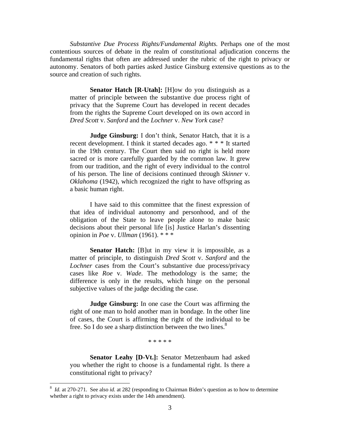*Substantive Due Process Rights/Fundamental Rights.* Perhaps one of the most contentious sources of debate in the realm of constitutional adjudication concerns the fundamental rights that often are addressed under the rubric of the right to privacy or autonomy. Senators of both parties asked Justice Ginsburg extensive questions as to the source and creation of such rights.

**Senator Hatch [R-Utah]:** [H]ow do you distinguish as a matter of principle between the substantive due process right of privacy that the Supreme Court has developed in recent decades from the rights the Supreme Court developed on its own accord in *Dred Scott* v. *Sanford* and the *Lochner* v. *New York* case?

**Judge Ginsburg:** I don't think, Senator Hatch, that it is a recent development. I think it started decades ago. \* \* \* It started in the 19th century. The Court then said no right is held more sacred or is more carefully guarded by the common law. It grew from our tradition, and the right of every individual to the control of his person. The line of decisions continued through *Skinner* v. *Oklahoma* (1942), which recognized the right to have offspring as a basic human right.

I have said to this committee that the finest expression of that idea of individual autonomy and personhood, and of the obligation of the State to leave people alone to make basic decisions about their personal life [is] Justice Harlan's dissenting opinion in *Poe* v. *Ullman* (1961). \* \* \*

Senator Hatch: [B]ut in my view it is impossible, as a matter of principle, to distinguish *Dred Scott* v. *Sanford* and the *Lochner* cases from the Court's substantive due process/privacy cases like *Roe* v. *Wade*. The methodology is the same; the difference is only in the results, which hinge on the personal subjective values of the judge deciding the case.

**Judge Ginsburg:** In one case the Court was affirming the right of one man to hold another man in bondage. In the other line of cases, the Court is affirming the right of the individual to be free. So I do see a sharp distinction between the two lines. $8$ 

#### \* \* \* \* \*

**Senator Leahy [D-Vt.]:** Senator Metzenbaum had asked you whether the right to choose is a fundamental right. Is there a constitutional right to privacy?

<sup>&</sup>lt;sup>8</sup> *Id.* at 270-271. See also *id.* at 282 (responding to Chairman Biden's question as to how to determine whether a right to privacy exists under the 14th amendment).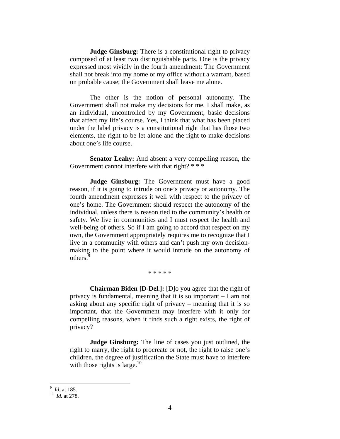**Judge Ginsburg:** There is a constitutional right to privacy composed of at least two distinguishable parts. One is the privacy expressed most vividly in the fourth amendment: The Government shall not break into my home or my office without a warrant, based on probable cause; the Government shall leave me alone.

The other is the notion of personal autonomy. The Government shall not make my decisions for me. I shall make, as an individual, uncontrolled by my Government, basic decisions that affect my life's course. Yes, I think that what has been placed under the label privacy is a constitutional right that has those two elements, the right to be let alone and the right to make decisions about one's life course.

**Senator Leahy:** And absent a very compelling reason, the Government cannot interfere with that right? \* \* \*

**Judge Ginsburg:** The Government must have a good reason, if it is going to intrude on one's privacy or autonomy. The fourth amendment expresses it well with respect to the privacy of one's home. The Government should respect the autonomy of the individual, unless there is reason tied to the community's health or safety. We live in communities and I must respect the health and well-being of others. So if I am going to accord that respect on my own, the Government appropriately requires me to recognize that I live in a community with others and can't push my own decisionmaking to the point where it would intrude on the autonomy of others.<sup>9</sup>

\* \* \* \* \*

**Chairman Biden [D-Del.]:** [D]o you agree that the right of privacy is fundamental, meaning that it is so important – I am not asking about any specific right of privacy – meaning that it is so important, that the Government may interfere with it only for compelling reasons, when it finds such a right exists, the right of privacy?

**Judge Ginsburg:** The line of cases you just outlined, the right to marry, the right to procreate or not, the right to raise one's children, the degree of justification the State must have to interfere with those rights is large.<sup>10</sup>

 $9$  *Id.* at 185.

<sup>&</sup>lt;sup>10</sup> *Id.* at 278.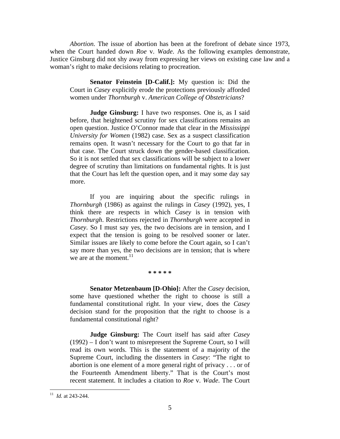*Abortion.* The issue of abortion has been at the forefront of debate since 1973, when the Court handed down *Roe* v. *Wade*. As the following examples demonstrate, Justice Ginsburg did not shy away from expressing her views on existing case law and a woman's right to make decisions relating to procreation.

**Senator Feinstein [D-Calif.]:** My question is: Did the Court in *Casey* explicitly erode the protections previously afforded women under *Thornburgh* v. *American College of Obstetricians*?

**Judge Ginsburg:** I have two responses. One is, as I said before, that heightened scrutiny for sex classifications remains an open question. Justice O'Connor made that clear in the *Mississippi University for Women* (1982) case. Sex as a suspect classification remains open. It wasn't necessary for the Court to go that far in that case. The Court struck down the gender-based classification. So it is not settled that sex classifications will be subject to a lower degree of scrutiny than limitations on fundamental rights. It is just that the Court has left the question open, and it may some day say more.

If you are inquiring about the specific rulings in *Thornburgh* (1986) as against the rulings in *Casey* (1992), yes, I think there are respects in which *Casey* is in tension with *Thornburgh*. Restrictions rejected in *Thornburgh* were accepted in *Casey*. So I must say yes, the two decisions are in tension, and I expect that the tension is going to be resolved sooner or later. Similar issues are likely to come before the Court again, so I can't say more than yes, the two decisions are in tension; that is where we are at the moment.  $11$ 

**\* \* \* \* \*** 

 **Senator Metzenbaum [D-Ohio]:** After the *Casey* decision, some have questioned whether the right to choose is still a fundamental constitutional right. In your view, does the *Casey* decision stand for the proposition that the right to choose is a fundamental constitutional right?

 **Judge Ginsburg:** The Court itself has said after *Casey* (1992) – I don't want to misrepresent the Supreme Court, so I will read its own words. This is the statement of a majority of the Supreme Court, including the dissenters in *Casey*: "The right to abortion is one element of a more general right of privacy . . . or of the Fourteenth Amendment liberty." That is the Court's most recent statement. It includes a citation to *Roe* v. *Wade*. The Court

<sup>11</sup> *Id.* at 243-244.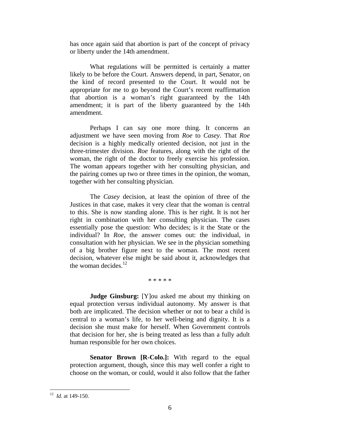has once again said that abortion is part of the concept of privacy or liberty under the 14th amendment.

 What regulations will be permitted is certainly a matter likely to be before the Court. Answers depend, in part, Senator, on the kind of record presented to the Court. It would not be appropriate for me to go beyond the Court's recent reaffirmation that abortion is a woman's right guaranteed by the 14th amendment; it is part of the liberty guaranteed by the 14th amendment.

 Perhaps I can say one more thing. It concerns an adjustment we have seen moving from *Roe* to *Casey*. That *Roe* decision is a highly medically oriented decision, not just in the three-trimester division. *Roe* features, along with the right of the woman, the right of the doctor to freely exercise his profession. The woman appears together with her consulting physician, and the pairing comes up two or three times in the opinion, the woman, together with her consulting physician.

 The *Casey* decision, at least the opinion of three of the Justices in that case, makes it very clear that the woman is central to this. She is now standing alone. This is her right. It is not her right in combination with her consulting physician. The cases essentially pose the question: Who decides; is it the State or the individual? In *Roe*, the answer comes out: the individual, in consultation with her physician. We see in the physician something of a big brother figure next to the woman. The most recent decision, whatever else might be said about it, acknowledges that the woman decides. $^{12}$ 

\* \* \* \* \*

**Judge Ginsburg:** [Y]ou asked me about my thinking on equal protection versus individual autonomy. My answer is that both are implicated. The decision whether or not to bear a child is central to a woman's life, to her well-being and dignity. It is a decision she must make for herself. When Government controls that decision for her, she is being treated as less than a fully adult human responsible for her own choices.

**Senator Brown [R-Colo.]:** With regard to the equal protection argument, though, since this may well confer a right to choose on the woman, or could, would it also follow that the father

<sup>12</sup> *Id.* at 149-150.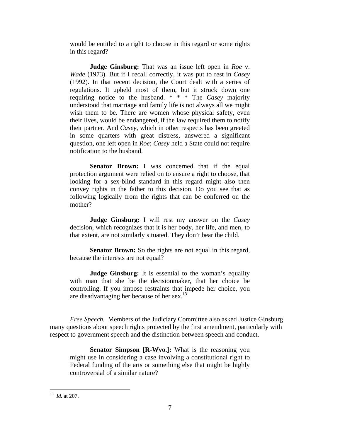would be entitled to a right to choose in this regard or some rights in this regard?

**Judge Ginsburg:** That was an issue left open in *Roe* v. *Wade* (1973). But if I recall correctly, it was put to rest in *Casey* (1992). In that recent decision, the Court dealt with a series of regulations. It upheld most of them, but it struck down one requiring notice to the husband. \* \* \* The *Casey* majority understood that marriage and family life is not always all we might wish them to be. There are women whose physical safety, even their lives, would be endangered, if the law required them to notify their partner. And *Casey*, which in other respects has been greeted in some quarters with great distress, answered a significant question, one left open in *Roe*; *Casey* held a State could not require notification to the husband.

Senator Brown: I was concerned that if the equal protection argument were relied on to ensure a right to choose, that looking for a sex-blind standard in this regard might also then convey rights in the father to this decision. Do you see that as following logically from the rights that can be conferred on the mother?

**Judge Ginsburg:** I will rest my answer on the *Casey* decision, which recognizes that it is her body, her life, and men, to that extent, are not similarly situated. They don't bear the child.

**Senator Brown:** So the rights are not equal in this regard, because the interests are not equal?

**Judge Ginsburg:** It is essential to the woman's equality with man that she be the decisionmaker, that her choice be controlling. If you impose restraints that impede her choice, you are disadvantaging her because of her sex.<sup>13</sup>

 *Free Speech.* Members of the Judiciary Committee also asked Justice Ginsburg many questions about speech rights protected by the first amendment, particularly with respect to government speech and the distinction between speech and conduct.

**Senator Simpson [R-Wyo.]:** What is the reasoning you might use in considering a case involving a constitutional right to Federal funding of the arts or something else that might be highly controversial of a similar nature?

<u>.</u>

<sup>13</sup> *Id.* at 207.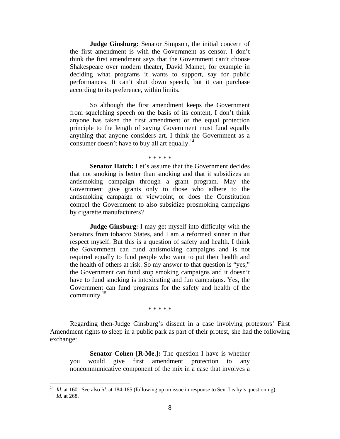**Judge Ginsburg:** Senator Simpson, the initial concern of the first amendment is with the Government as censor. I don't think the first amendment says that the Government can't choose Shakespeare over modern theater, David Mamet, for example in deciding what programs it wants to support, say for public performances. It can't shut down speech, but it can purchase according to its preference, within limits.

So although the first amendment keeps the Government from squelching speech on the basis of its content, I don't think anyone has taken the first amendment or the equal protection principle to the length of saying Government must fund equally anything that anyone considers art. I think the Government as a consumer doesn't have to buy all art equally.<sup>14</sup>

\* \* \* \* \*

**Senator Hatch:** Let's assume that the Government decides that not smoking is better than smoking and that it subsidizes an antismoking campaign through a grant program. May the Government give grants only to those who adhere to the antismoking campaign or viewpoint, or does the Constitution compel the Government to also subsidize prosmoking campaigns by cigarette manufacturers?

 **Judge Ginsburg:** I may get myself into difficulty with the Senators from tobacco States, and I am a reformed sinner in that respect myself. But this is a question of safety and health. I think the Government can fund antismoking campaigns and is not required equally to fund people who want to put their health and the health of others at risk. So my answer to that question is "yes," the Government can fund stop smoking campaigns and it doesn't have to fund smoking is intoxicating and fun campaigns. Yes, the Government can fund programs for the safety and health of the community. $15$ 

\* \* \* \* \*

Regarding then-Judge Ginsburg's dissent in a case involving protestors' First Amendment rights to sleep in a public park as part of their protest, she had the following exchange:

**Senator Cohen [R-Me.]:** The question I have is whether you would give first amendment protection to any noncommunicative component of the mix in a case that involves a

1

<sup>14</sup>*Id*. at 160. See also *id.* at 184-185 (following up on issue in response to Sen. Leahy's questioning). 15 *Id.* at 268.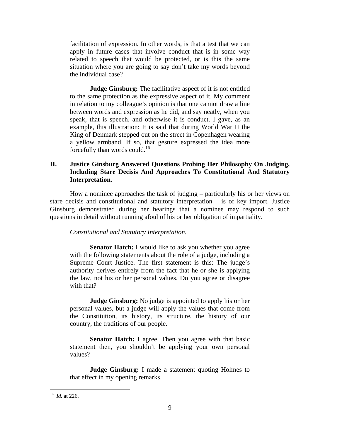facilitation of expression. In other words, is that a test that we can apply in future cases that involve conduct that is in some way related to speech that would be protected, or is this the same situation where you are going to say don't take my words beyond the individual case?

 **Judge Ginsburg:** The facilitative aspect of it is not entitled to the same protection as the expressive aspect of it. My comment in relation to my colleague's opinion is that one cannot draw a line between words and expression as he did, and say neatly, when you speak, that is speech, and otherwise it is conduct. I gave, as an example, this illustration: It is said that during World War II the King of Denmark stepped out on the street in Copenhagen wearing a yellow armband. If so, that gesture expressed the idea more forcefully than words could.<sup>16</sup>

# **II. Justice Ginsburg Answered Questions Probing Her Philosophy On Judging, Including Stare Decisis And Approaches To Constitutional And Statutory Interpretation.**

How a nominee approaches the task of judging – particularly his or her views on stare decisis and constitutional and statutory interpretation – is of key import. Justice Ginsburg demonstrated during her hearings that a nominee may respond to such questions in detail without running afoul of his or her obligation of impartiality.

#### *Constitutional and Statutory Interpretation.*

Senator Hatch: I would like to ask you whether you agree with the following statements about the role of a judge, including a Supreme Court Justice. The first statement is this: The judge's authority derives entirely from the fact that he or she is applying the law, not his or her personal values. Do you agree or disagree with that?

**Judge Ginsburg:** No judge is appointed to apply his or her personal values, but a judge will apply the values that come from the Constitution, its history, its structure, the history of our country, the traditions of our people.

**Senator Hatch:** I agree. Then you agree with that basic statement then, you shouldn't be applying your own personal values?

**Judge Ginsburg:** I made a statement quoting Holmes to that effect in my opening remarks.

<u>.</u>

<sup>16</sup> *Id.* at 226.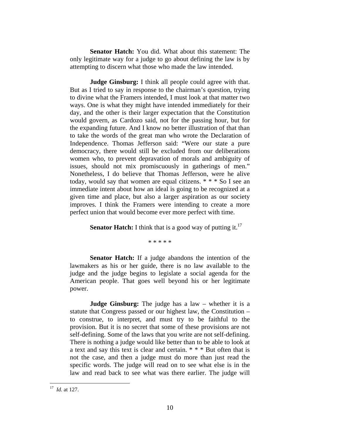**Senator Hatch:** You did. What about this statement: The only legitimate way for a judge to go about defining the law is by attempting to discern what those who made the law intended.

**Judge Ginsburg:** I think all people could agree with that. But as I tried to say in response to the chairman's question, trying to divine what the Framers intended, I must look at that matter two ways. One is what they might have intended immediately for their day, and the other is their larger expectation that the Constitution would govern, as Cardozo said, not for the passing hour, but for the expanding future. And I know no better illustration of that than to take the words of the great man who wrote the Declaration of Independence. Thomas Jefferson said: "Were our state a pure democracy, there would still be excluded from our deliberations women who, to prevent depravation of morals and ambiguity of issues, should not mix promiscuously in gatherings of men." Nonetheless, I do believe that Thomas Jefferson, were he alive today, would say that women are equal citizens. \* \* \* So I see an immediate intent about how an ideal is going to be recognized at a given time and place, but also a larger aspiration as our society improves. I think the Framers were intending to create a more perfect union that would become ever more perfect with time.

**Senator Hatch:** I think that is a good way of putting it.<sup>17</sup>

\* \* \* \* \*

**Senator Hatch:** If a judge abandons the intention of the lawmakers as his or her guide, there is no law available to the judge and the judge begins to legislate a social agenda for the American people. That goes well beyond his or her legitimate power.

**Judge Ginsburg:** The judge has a law – whether it is a statute that Congress passed or our highest law, the Constitution – to construe, to interpret, and must try to be faithful to the provision. But it is no secret that some of these provisions are not self-defining. Some of the laws that you write are not self-defining. There is nothing a judge would like better than to be able to look at a text and say this text is clear and certain. \* \* \* But often that is not the case, and then a judge must do more than just read the specific words. The judge will read on to see what else is in the law and read back to see what was there earlier. The judge will

<sup>17</sup> *Id.* at 127.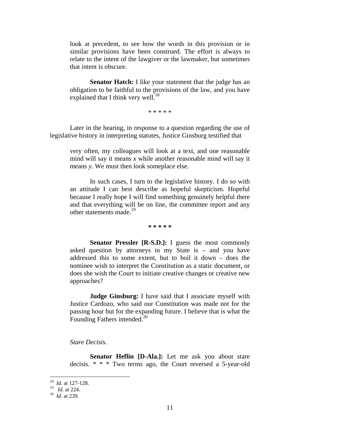look at precedent, to see how the words in this provision or in similar provisions have been construed. The effort is always to relate to the intent of the lawgiver or the lawmaker, but sometimes that intent is obscure.

**Senator Hatch:** I like your statement that the judge has an obligation to be faithful to the provisions of the law, and you have explained that I think very well.<sup>18</sup>

\* \* \* \* \*

Later in the hearing, in response to a question regarding the use of legislative history in interpreting statutes, Justice Ginsburg testified that

very often, my colleagues will look at a text, and one reasonable mind will say it means *x* while another reasonable mind will say it means *y*. We must then look someplace else.

 In such cases, I turn to the legislative history. I do so with an attitude I can best describe as hopeful skepticism. Hopeful because I really hope I will find something genuinely helpful there and that everything will be on line, the committee report and any other statements made.<sup>19</sup>

**\* \* \* \* \*** 

 **Senator Pressler [R-S.D.]:** I guess the most commonly asked question by attorneys in my State is – and you have addressed this to some extent, but to boil it down – does the nominee wish to interpret the Constitution as a static document, or does she wish the Court to initiate creative changes or creative new approaches?

 **Judge Ginsburg:** I have said that I associate myself with Justice Cardozo, who said our Constitution was made not for the passing hour but for the expanding future. I believe that is what the Founding Fathers intended.<sup>20</sup>

*Stare Decisis.* 

**Senator Heflin [D-Ala.]:** Let me ask you about stare decisis. \* \* \* Two terms ago, the Court reversed a 5-year-old

<sup>18</sup> *Id.* at 127-128.

<sup>19</sup> *Id.* at 224. 20 *Id.* at 239.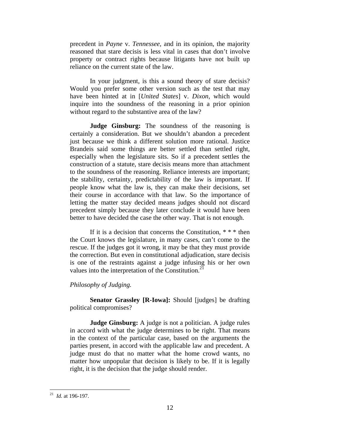precedent in *Payne* v. *Tennessee*, and in its opinion, the majority reasoned that stare decisis is less vital in cases that don't involve property or contract rights because litigants have not built up reliance on the current state of the law.

In your judgment, is this a sound theory of stare decisis? Would you prefer some other version such as the test that may have been hinted at in [*United States*] v. *Dixon*, which would inquire into the soundness of the reasoning in a prior opinion without regard to the substantive area of the law?

**Judge Ginsburg:** The soundness of the reasoning is certainly a consideration. But we shouldn't abandon a precedent just because we think a different solution more rational. Justice Brandeis said some things are better settled than settled right, especially when the legislature sits. So if a precedent settles the construction of a statute, stare decisis means more than attachment to the soundness of the reasoning. Reliance interests are important; the stability, certainty, predictability of the law is important. If people know what the law is, they can make their decisions, set their course in accordance with that law. So the importance of letting the matter stay decided means judges should not discard precedent simply because they later conclude it would have been better to have decided the case the other way. That is not enough.

If it is a decision that concerns the Constitution,  $***$  then the Court knows the legislature, in many cases, can't come to the rescue. If the judges got it wrong, it may be that they must provide the correction. But even in constitutional adjudication, stare decisis is one of the restraints against a judge infusing his or her own values into the interpretation of the Constitution.<sup>21</sup>

## *Philosophy of Judging.*

**Senator Grassley [R-Iowa]:** Should [judges] be drafting political compromises?

**Judge Ginsburg:** A judge is not a politician. A judge rules in accord with what the judge determines to be right. That means in the context of the particular case, based on the arguments the parties present, in accord with the applicable law and precedent. A judge must do that no matter what the home crowd wants, no matter how unpopular that decision is likely to be. If it is legally right, it is the decision that the judge should render.

<u>.</u>

<sup>21</sup> *Id.* at 196-197.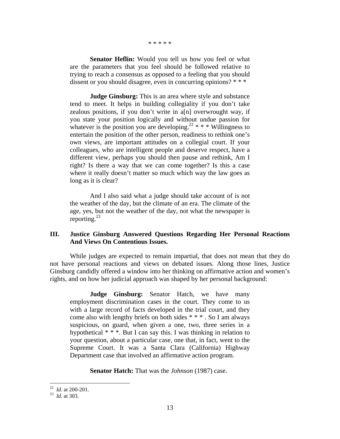\* \* \* \* \*

 **Senator Heflin:** Would you tell us how you feel or what are the parameters that you feel should be followed relative to trying to reach a consensus as opposed to a feeling that you should dissent or you should disagree, even in concurring opinions? \*\*\*

**Judge Ginsburg:** This is an area where style and substance tend to meet. It helps in building collegiality if you don't take zealous positions, if you don't write in a[n] overwrought way, if you state your position logically and without undue passion for whatever is the position you are developing.<sup>22</sup>  $* * *$  Willingness to entertain the position of the other person, readiness to rethink one's own views, are important attitudes on a collegial court. If your colleagues, who are intelligent people and deserve respect, have a different view, perhaps you should then pause and rethink, Am I right? Is there a way that we can come together? Is this a case where it really doesn't matter so much which way the law goes as long as it is clear?

And I also said what a judge should take account of is not the weather of the day, but the climate of an era. The climate of the age, yes, but not the weather of the day, not what the newspaper is reporting. $23$ 

# **III. Justice Ginsburg Answered Questions Regarding Her Personal Reactions And Views On Contentious Issues.**

While judges are expected to remain impartial, that does not mean that they do not have personal reactions and views on debated issues. Along those lines, Justice Ginsburg candidly offered a window into her thinking on affirmative action and women's rights, and on how her judicial approach was shaped by her personal background:

**Judge Ginsburg:** Senator Hatch, we have many employment discrimination cases in the court. They come to us with a large record of facts developed in the trial court, and they come also with lengthy briefs on both sides \* \* \* . So I am always suspicious, on guard, when given a one, two, three series in a hypothetical  $**$ . But I can say this. I was thinking in relation to your question, about a particular case, one that, in fact, went to the Supreme Court. It was a Santa Clara (California) Highway Department case that involved an affirmative action program.

**Senator Hatch:** That was the *Johnson* (1987) case.

 $^{22}$  *Id.* at 200-201.

<sup>&</sup>lt;sup>23</sup> *Id.* at 303.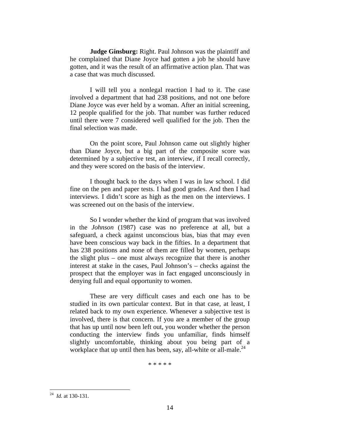**Judge Ginsburg:** Right. Paul Johnson was the plaintiff and he complained that Diane Joyce had gotten a job he should have gotten, and it was the result of an affirmative action plan. That was a case that was much discussed.

I will tell you a nonlegal reaction I had to it. The case involved a department that had 238 positions, and not one before Diane Joyce was ever held by a woman. After an initial screening, 12 people qualified for the job. That number was further reduced until there were 7 considered well qualified for the job. Then the final selection was made.

On the point score, Paul Johnson came out slightly higher than Diane Joyce, but a big part of the composite score was determined by a subjective test, an interview, if I recall correctly, and they were scored on the basis of the interview.

I thought back to the days when I was in law school. I did fine on the pen and paper tests. I had good grades. And then I had interviews. I didn't score as high as the men on the interviews. I was screened out on the basis of the interview.

So I wonder whether the kind of program that was involved in the *Johnson* (1987) case was no preference at all, but a safeguard, a check against unconscious bias, bias that may even have been conscious way back in the fifties. In a department that has 238 positions and none of them are filled by women, perhaps the slight plus – one must always recognize that there is another interest at stake in the cases, Paul Johnson's – checks against the prospect that the employer was in fact engaged unconsciously in denying full and equal opportunity to women.

These are very difficult cases and each one has to be studied in its own particular context. But in that case, at least, I related back to my own experience. Whenever a subjective test is involved, there is that concern. If you are a member of the group that has up until now been left out, you wonder whether the person conducting the interview finds you unfamiliar, finds himself slightly uncomfortable, thinking about you being part of a workplace that up until then has been, say, all-white or all-male.<sup>24</sup>

\* \* \* \* \*

<sup>24</sup> *Id.* at 130-131.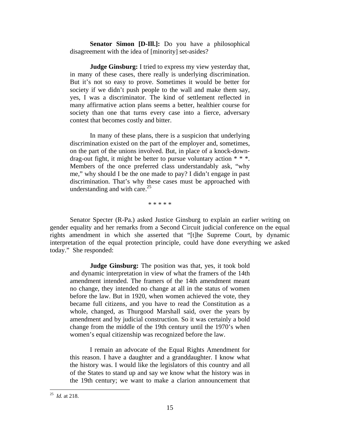**Senator Simon [D-Ill.]:** Do you have a philosophical disagreement with the idea of [minority] set-asides?

**Judge Ginsburg:** I tried to express my view yesterday that, in many of these cases, there really is underlying discrimination. But it's not so easy to prove. Sometimes it would be better for society if we didn't push people to the wall and make them say, yes, I was a discriminator. The kind of settlement reflected in many affirmative action plans seems a better, healthier course for society than one that turns every case into a fierce, adversary contest that becomes costly and bitter.

In many of these plans, there is a suspicion that underlying discrimination existed on the part of the employer and, sometimes, on the part of the unions involved. But, in place of a knock-downdrag-out fight, it might be better to pursue voluntary action  $**$ . Members of the once preferred class understandably ask, "why me," why should I be the one made to pay? I didn't engage in past discrimination. That's why these cases must be approached with understanding and with care. $^{25}$ 

\* \* \* \* \*

Senator Specter (R-Pa.) asked Justice Ginsburg to explain an earlier writing on gender equality and her remarks from a Second Circuit judicial conference on the equal rights amendment in which she asserted that "[t]he Supreme Court, by dynamic interpretation of the equal protection principle, could have done everything we asked today." She responded:

**Judge Ginsburg:** The position was that, yes, it took bold and dynamic interpretation in view of what the framers of the 14th amendment intended. The framers of the 14th amendment meant no change, they intended no change at all in the status of women before the law. But in 1920, when women achieved the vote, they became full citizens, and you have to read the Constitution as a whole, changed, as Thurgood Marshall said, over the years by amendment and by judicial construction. So it was certainly a bold change from the middle of the 19th century until the 1970's when women's equal citizenship was recognized before the law.

I remain an advocate of the Equal Rights Amendment for this reason. I have a daughter and a granddaughter. I know what the history was. I would like the legislators of this country and all of the States to stand up and say we know what the history was in the 19th century; we want to make a clarion announcement that

<sup>25</sup> *Id.* at 218.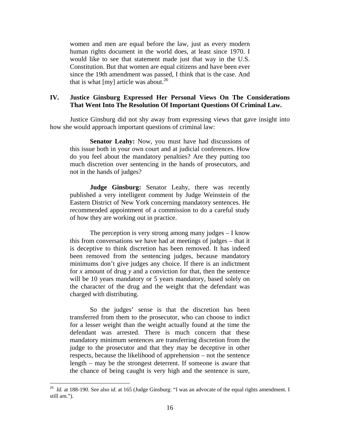women and men are equal before the law, just as every modern human rights document in the world does, at least since 1970. I would like to see that statement made just that way in the U.S. Constitution. But that women are equal citizens and have been ever since the 19th amendment was passed, I think that is the case. And that is what [my] article was about. $^{26}$ 

# **IV. Justice Ginsburg Expressed Her Personal Views On The Considerations That Went Into The Resolution Of Important Questions Of Criminal Law.**

Justice Ginsburg did not shy away from expressing views that gave insight into how she would approach important questions of criminal law:

**Senator Leahy:** Now, you must have had discussions of this issue both in your own court and at judicial conferences. How do you feel about the mandatory penalties? Are they putting too much discretion over sentencing in the hands of prosecutors, and not in the hands of judges?

**Judge Ginsburg:** Senator Leahy, there was recently published a very intelligent comment by Judge Weinstein of the Eastern District of New York concerning mandatory sentences. He recommended appointment of a commission to do a careful study of how they are working out in practice.

The perception is very strong among many judges – I know this from conversations we have had at meetings of judges – that it is deceptive to think discretion has been removed. It has indeed been removed from the sentencing judges, because mandatory minimums don't give judges any choice. If there is an indictment for *x* amount of drug *y* and a conviction for that, then the sentence will be 10 years mandatory or 5 years mandatory, based solely on the character of the drug and the weight that the defendant was charged with distributing.

So the judges' sense is that the discretion has been transferred from them to the prosecutor, who can choose to indict for a lesser weight than the weight actually found at the time the defendant was arrested. There is much concern that these mandatory minimum sentences are transferring discretion from the judge to the prosecutor and that they may be deceptive in other respects, because the likelihood of apprehension – not the sentence length – may be the strongest deterrent. If someone is aware that the chance of being caught is very high and the sentence is sure,

<sup>26</sup> *Id.* at 188-190. See also *id.* at 165 (Judge Ginsburg: "I was an advocate of the equal rights amendment. I still am.").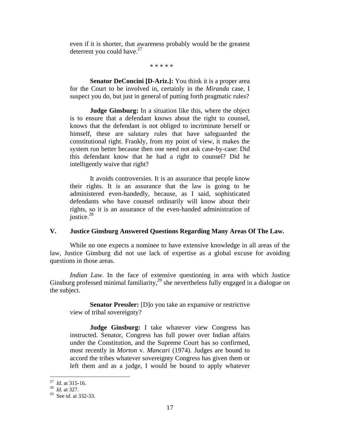even if it is shorter, that awareness probably would be the greatest deterrent you could have. $27$ 

\* \* \* \* \*

**Senator DeConcini [D-Ariz.]:** You think it is a proper area for the Court to be involved in, certainly in the *Miranda* case, I suspect you do, but just in general of putting forth pragmatic rules?

 **Judge Ginsburg:** In a situation like this, where the object is to ensure that a defendant knows about the right to counsel, knows that the defendant is not obliged to incriminate herself or himself, these are salutary rules that have safeguarded the constitutional right. Frankly, from my point of view, it makes the system run better because then one need not ask case-by-case: Did this defendant know that he had a right to counsel? Did he intelligently waive that right?

 It avoids controversies. It is an assurance that people know their rights. It is an assurance that the law is going to be administered even-handedly, because, as I said, sophisticated defendants who have counsel ordinarily will know about their rights, so it is an assurance of the even-handed administration of justice.<sup>28</sup>

## **V. Justice Ginsburg Answered Questions Regarding Many Areas Of The Law.**

While no one expects a nominee to have extensive knowledge in all areas of the law, Justice Ginsburg did not use lack of expertise as a global excuse for avoiding questions in those areas.

*Indian Law.* In the face of extensive questioning in area with which Justice Ginsburg professed minimal familiarity,<sup>29</sup> she nevertheless fully engaged in a dialogue on the subject.

**Senator Pressler:** [D]o you take an expansive or restrictive view of tribal sovereignty?

**Judge Ginsburg:** I take whatever view Congress has instructed. Senator, Congress has full power over Indian affairs under the Constitution, and the Supreme Court has so confirmed, most recently in *Morton* v. *Mancari* (1974). Judges are bound to accord the tribes whatever sovereignty Congress has given them or left them and as a judge, I would be bound to apply whatever

 $^{27}$  *Id.* at 315-16.

<sup>&</sup>lt;sup>28</sup> *Id.* at 327.

<sup>29</sup> See *id.* at 332-33.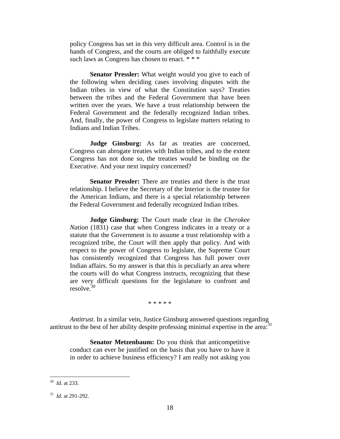policy Congress has set in this very difficult area. Control is in the hands of Congress, and the courts are obliged to faithfully execute such laws as Congress has chosen to enact. \*\*\*

**Senator Pressler:** What weight would you give to each of the following when deciding cases involving disputes with the Indian tribes in view of what the Constitution says? Treaties between the tribes and the Federal Government that have been written over the years. We have a trust relationship between the Federal Government and the federally recognized Indian tribes. And, finally, the power of Congress to legislate matters relating to Indians and Indian Tribes.

**Judge Ginsburg:** As far as treaties are concerned, Congress can abrogate treaties with Indian tribes, and to the extent Congress has not done so, the treaties would be binding on the Executive. And your next inquiry concerned?

**Senator Pressler:** There are treaties and there is the trust relationship. I believe the Secretary of the Interior is the trustee for the American Indians, and there is a special relationship between the Federal Government and federally recognized Indian tribes.

**Judge Ginsburg:** The Court made clear in the *Cherokee Nation* (1831) case that when Congress indicates in a treaty or a statute that the Government is to assume a trust relationship with a recognized tribe, the Court will then apply that policy. And with respect to the power of Congress to legislate, the Supreme Court has consistently recognized that Congress has full power over Indian affairs. So my answer is that this is peculiarly an area where the courts will do what Congress instructs, recognizing that these are very difficult questions for the legislature to confront and resolve.30

\* \* \* \* \*

 *Antitrust.* In a similar vein, Justice Ginsburg answered questions regarding antitrust to the best of her ability despite professing minimal expertise in the area:  $31$ 

Senator Metzenbaum: Do you think that anticompetitive conduct can ever be justified on the basis that you have to have it in order to achieve business efficiency? I am really not asking you

<sup>30</sup> *Id.* at 233.

<sup>31</sup> *Id.* at 291-292.